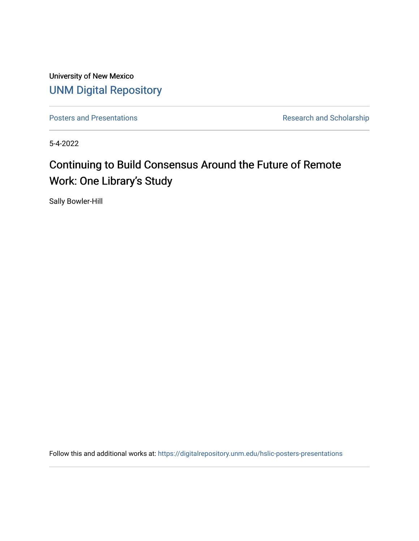University of New Mexico [UNM Digital Repository](https://digitalrepository.unm.edu/) 

[Posters and Presentations](https://digitalrepository.unm.edu/hslic-posters-presentations) **Research and Scholarship** Research and Scholarship

5-4-2022

# Continuing to Build Consensus Around the Future of Remote Work: One Library's Study

Sally Bowler-Hill

Follow this and additional works at: [https://digitalrepository.unm.edu/hslic-posters-presentations](https://digitalrepository.unm.edu/hslic-posters-presentations?utm_source=digitalrepository.unm.edu%2Fhslic-posters-presentations%2F86&utm_medium=PDF&utm_campaign=PDFCoverPages)